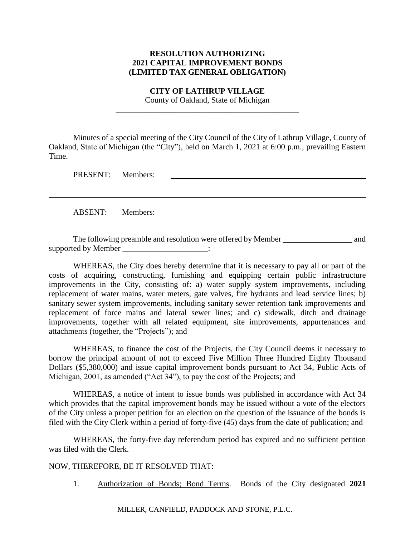### **RESOLUTION AUTHORIZING 2021 CAPITAL IMPROVEMENT BONDS (LIMITED TAX GENERAL OBLIGATION)**

**CITY OF LATHRUP VILLAGE**

County of Oakland, State of Michigan \_\_\_\_\_\_\_\_\_\_\_\_\_\_\_\_\_\_\_\_\_\_\_\_\_\_\_\_\_\_\_\_\_\_\_\_\_\_\_\_\_\_\_\_\_

Minutes of a special meeting of the City Council of the City of Lathrup Village, County of Oakland, State of Michigan (the "City"), held on March 1, 2021 at 6:00 p.m., prevailing Eastern Time.

PRESENT: Members:

ABSENT: Members:

The following preamble and resolution were offered by Member and and supported by Member \_\_\_\_\_\_\_\_\_\_\_\_\_\_\_\_\_\_\_\_\_:

WHEREAS, the City does hereby determine that it is necessary to pay all or part of the costs of acquiring, constructing, furnishing and equipping certain public infrastructure improvements in the City, consisting of: a) water supply system improvements, including replacement of water mains, water meters, gate valves, fire hydrants and lead service lines; b) sanitary sewer system improvements, including sanitary sewer retention tank improvements and replacement of force mains and lateral sewer lines; and c) sidewalk, ditch and drainage improvements, together with all related equipment, site improvements, appurtenances and attachments (together, the "Projects"); and

WHEREAS, to finance the cost of the Projects, the City Council deems it necessary to borrow the principal amount of not to exceed Five Million Three Hundred Eighty Thousand Dollars (\$5,380,000) and issue capital improvement bonds pursuant to Act 34, Public Acts of Michigan, 2001, as amended ("Act 34"), to pay the cost of the Projects; and

WHEREAS, a notice of intent to issue bonds was published in accordance with Act 34 which provides that the capital improvement bonds may be issued without a vote of the electors of the City unless a proper petition for an election on the question of the issuance of the bonds is filed with the City Clerk within a period of forty-five (45) days from the date of publication; and

WHEREAS, the forty-five day referendum period has expired and no sufficient petition was filed with the Clerk.

#### NOW, THEREFORE, BE IT RESOLVED THAT:

1. Authorization of Bonds; Bond Terms. Bonds of the City designated **2021** 

MILLER, CANFIELD, PADDOCK AND STONE, P.L.C.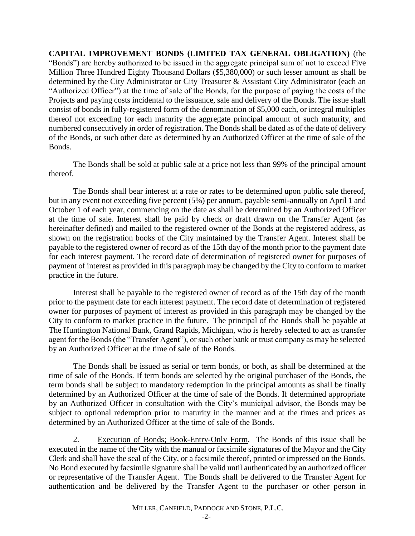**CAPITAL IMPROVEMENT BONDS (LIMITED TAX GENERAL OBLIGATION)** (the "Bonds") are hereby authorized to be issued in the aggregate principal sum of not to exceed Five Million Three Hundred Eighty Thousand Dollars (\$5,380,000) or such lesser amount as shall be determined by the City Administrator or City Treasurer & Assistant City Administrator (each an "Authorized Officer") at the time of sale of the Bonds, for the purpose of paying the costs of the Projects and paying costs incidental to the issuance, sale and delivery of the Bonds. The issue shall consist of bonds in fully-registered form of the denomination of \$5,000 each, or integral multiples thereof not exceeding for each maturity the aggregate principal amount of such maturity, and numbered consecutively in order of registration. The Bonds shall be dated as of the date of delivery of the Bonds, or such other date as determined by an Authorized Officer at the time of sale of the Bonds.

The Bonds shall be sold at public sale at a price not less than 99% of the principal amount thereof.

The Bonds shall bear interest at a rate or rates to be determined upon public sale thereof, but in any event not exceeding five percent (5%) per annum, payable semi-annually on April 1 and October 1 of each year, commencing on the date as shall be determined by an Authorized Officer at the time of sale. Interest shall be paid by check or draft drawn on the Transfer Agent (as hereinafter defined) and mailed to the registered owner of the Bonds at the registered address, as shown on the registration books of the City maintained by the Transfer Agent. Interest shall be payable to the registered owner of record as of the 15th day of the month prior to the payment date for each interest payment. The record date of determination of registered owner for purposes of payment of interest as provided in this paragraph may be changed by the City to conform to market practice in the future.

Interest shall be payable to the registered owner of record as of the 15th day of the month prior to the payment date for each interest payment. The record date of determination of registered owner for purposes of payment of interest as provided in this paragraph may be changed by the City to conform to market practice in the future. The principal of the Bonds shall be payable at The Huntington National Bank, Grand Rapids, Michigan, who is hereby selected to act as transfer agent for the Bonds (the "Transfer Agent"), or such other bank or trust company as may be selected by an Authorized Officer at the time of sale of the Bonds.

The Bonds shall be issued as serial or term bonds, or both, as shall be determined at the time of sale of the Bonds. If term bonds are selected by the original purchaser of the Bonds, the term bonds shall be subject to mandatory redemption in the principal amounts as shall be finally determined by an Authorized Officer at the time of sale of the Bonds. If determined appropriate by an Authorized Officer in consultation with the City's municipal advisor, the Bonds may be subject to optional redemption prior to maturity in the manner and at the times and prices as determined by an Authorized Officer at the time of sale of the Bonds.

2. Execution of Bonds; Book-Entry-Only Form. The Bonds of this issue shall be executed in the name of the City with the manual or facsimile signatures of the Mayor and the City Clerk and shall have the seal of the City, or a facsimile thereof, printed or impressed on the Bonds. No Bond executed by facsimile signature shall be valid until authenticated by an authorized officer or representative of the Transfer Agent. The Bonds shall be delivered to the Transfer Agent for authentication and be delivered by the Transfer Agent to the purchaser or other person in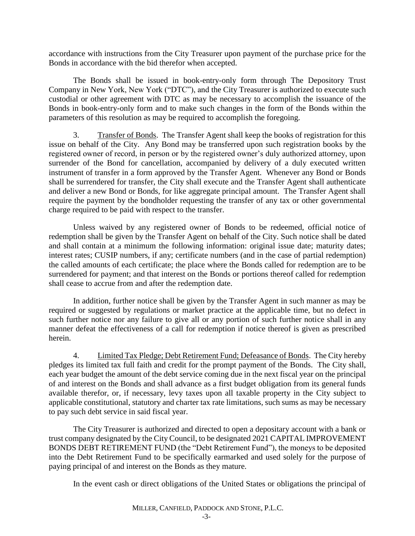accordance with instructions from the City Treasurer upon payment of the purchase price for the Bonds in accordance with the bid therefor when accepted.

The Bonds shall be issued in book-entry-only form through The Depository Trust Company in New York, New York ("DTC"), and the City Treasurer is authorized to execute such custodial or other agreement with DTC as may be necessary to accomplish the issuance of the Bonds in book-entry-only form and to make such changes in the form of the Bonds within the parameters of this resolution as may be required to accomplish the foregoing.

3. Transfer of Bonds. The Transfer Agent shall keep the books of registration for this issue on behalf of the City. Any Bond may be transferred upon such registration books by the registered owner of record, in person or by the registered owner's duly authorized attorney, upon surrender of the Bond for cancellation, accompanied by delivery of a duly executed written instrument of transfer in a form approved by the Transfer Agent. Whenever any Bond or Bonds shall be surrendered for transfer, the City shall execute and the Transfer Agent shall authenticate and deliver a new Bond or Bonds, for like aggregate principal amount. The Transfer Agent shall require the payment by the bondholder requesting the transfer of any tax or other governmental charge required to be paid with respect to the transfer.

Unless waived by any registered owner of Bonds to be redeemed, official notice of redemption shall be given by the Transfer Agent on behalf of the City. Such notice shall be dated and shall contain at a minimum the following information: original issue date; maturity dates; interest rates; CUSIP numbers, if any; certificate numbers (and in the case of partial redemption) the called amounts of each certificate; the place where the Bonds called for redemption are to be surrendered for payment; and that interest on the Bonds or portions thereof called for redemption shall cease to accrue from and after the redemption date.

In addition, further notice shall be given by the Transfer Agent in such manner as may be required or suggested by regulations or market practice at the applicable time, but no defect in such further notice nor any failure to give all or any portion of such further notice shall in any manner defeat the effectiveness of a call for redemption if notice thereof is given as prescribed herein.

4. Limited Tax Pledge; Debt Retirement Fund; Defeasance of Bonds. The City hereby pledges its limited tax full faith and credit for the prompt payment of the Bonds. The City shall, each year budget the amount of the debt service coming due in the next fiscal year on the principal of and interest on the Bonds and shall advance as a first budget obligation from its general funds available therefor, or, if necessary, levy taxes upon all taxable property in the City subject to applicable constitutional, statutory and charter tax rate limitations, such sums as may be necessary to pay such debt service in said fiscal year.

The City Treasurer is authorized and directed to open a depositary account with a bank or trust company designated by the City Council, to be designated 2021 CAPITAL IMPROVEMENT BONDS DEBT RETIREMENT FUND (the "Debt Retirement Fund"), the moneys to be deposited into the Debt Retirement Fund to be specifically earmarked and used solely for the purpose of paying principal of and interest on the Bonds as they mature.

In the event cash or direct obligations of the United States or obligations the principal of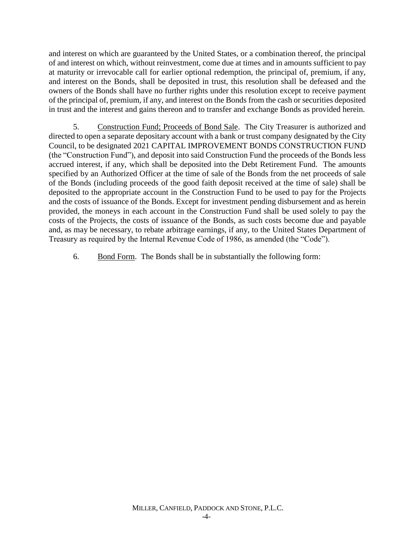and interest on which are guaranteed by the United States, or a combination thereof, the principal of and interest on which, without reinvestment, come due at times and in amounts sufficient to pay at maturity or irrevocable call for earlier optional redemption, the principal of, premium, if any, and interest on the Bonds, shall be deposited in trust, this resolution shall be defeased and the owners of the Bonds shall have no further rights under this resolution except to receive payment of the principal of, premium, if any, and interest on the Bonds from the cash or securities deposited in trust and the interest and gains thereon and to transfer and exchange Bonds as provided herein.

5. Construction Fund; Proceeds of Bond Sale. The City Treasurer is authorized and directed to open a separate depositary account with a bank or trust company designated by the City Council, to be designated 2021 CAPITAL IMPROVEMENT BONDS CONSTRUCTION FUND (the "Construction Fund"), and deposit into said Construction Fund the proceeds of the Bonds less accrued interest, if any, which shall be deposited into the Debt Retirement Fund. The amounts specified by an Authorized Officer at the time of sale of the Bonds from the net proceeds of sale of the Bonds (including proceeds of the good faith deposit received at the time of sale) shall be deposited to the appropriate account in the Construction Fund to be used to pay for the Projects and the costs of issuance of the Bonds. Except for investment pending disbursement and as herein provided, the moneys in each account in the Construction Fund shall be used solely to pay the costs of the Projects, the costs of issuance of the Bonds, as such costs become due and payable and, as may be necessary, to rebate arbitrage earnings, if any, to the United States Department of Treasury as required by the Internal Revenue Code of 1986, as amended (the "Code").

6. Bond Form. The Bonds shall be in substantially the following form: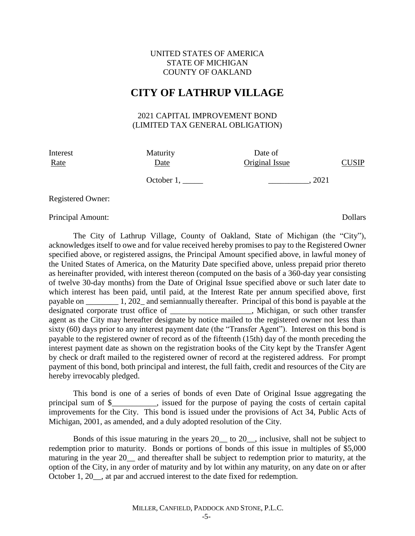### UNITED STATES OF AMERICA STATE OF MICHIGAN COUNTY OF OAKLAND

# **CITY OF LATHRUP VILLAGE**

## 2021 CAPITAL IMPROVEMENT BOND (LIMITED TAX GENERAL OBLIGATION)

| Interest    | Maturity                     | Date of               | $\mathbb C \mathbf{USIP}$ |
|-------------|------------------------------|-----------------------|---------------------------|
| <b>Rate</b> | Date                         | <b>Original Issue</b> |                           |
|             | October $1, \_\_\_\_\_\_\_\$ |                       | 2021                      |

Registered Owner:

Principal Amount: Dollars

The City of Lathrup Village, County of Oakland, State of Michigan (the "City"), acknowledges itself to owe and for value received hereby promises to pay to the Registered Owner specified above, or registered assigns, the Principal Amount specified above, in lawful money of the United States of America, on the Maturity Date specified above, unless prepaid prior thereto as hereinafter provided, with interest thereon (computed on the basis of a 360-day year consisting of twelve 30-day months) from the Date of Original Issue specified above or such later date to which interest has been paid, until paid, at the Interest Rate per annum specified above, first payable on \_\_\_\_\_\_\_\_ 1, 202\_ and semiannually thereafter. Principal of this bond is payable at the designated corporate trust office of \_\_\_\_\_\_\_\_\_\_\_\_\_\_\_\_\_\_\_\_, Michigan, or such other transfer agent as the City may hereafter designate by notice mailed to the registered owner not less than sixty (60) days prior to any interest payment date (the "Transfer Agent"). Interest on this bond is payable to the registered owner of record as of the fifteenth (15th) day of the month preceding the interest payment date as shown on the registration books of the City kept by the Transfer Agent by check or draft mailed to the registered owner of record at the registered address. For prompt payment of this bond, both principal and interest, the full faith, credit and resources of the City are hereby irrevocably pledged.

This bond is one of a series of bonds of even Date of Original Issue aggregating the principal sum of \$ section simulation issued for the purpose of paying the costs of certain capital improvements for the City. This bond is issued under the provisions of Act 34, Public Acts of Michigan, 2001, as amended, and a duly adopted resolution of the City.

Bonds of this issue maturing in the years 20\_\_ to 20\_\_, inclusive, shall not be subject to redemption prior to maturity. Bonds or portions of bonds of this issue in multiples of \$5,000 maturing in the year 20\_\_ and thereafter shall be subject to redemption prior to maturity, at the option of the City, in any order of maturity and by lot within any maturity, on any date on or after October 1, 20\_\_, at par and accrued interest to the date fixed for redemption.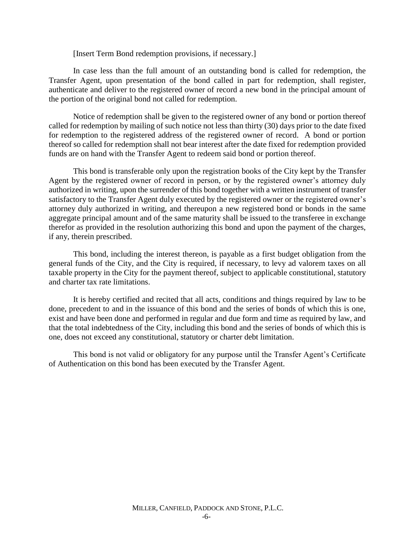[Insert Term Bond redemption provisions, if necessary.]

In case less than the full amount of an outstanding bond is called for redemption, the Transfer Agent, upon presentation of the bond called in part for redemption, shall register, authenticate and deliver to the registered owner of record a new bond in the principal amount of the portion of the original bond not called for redemption.

Notice of redemption shall be given to the registered owner of any bond or portion thereof called for redemption by mailing of such notice not less than thirty (30) days prior to the date fixed for redemption to the registered address of the registered owner of record. A bond or portion thereof so called for redemption shall not bear interest after the date fixed for redemption provided funds are on hand with the Transfer Agent to redeem said bond or portion thereof.

This bond is transferable only upon the registration books of the City kept by the Transfer Agent by the registered owner of record in person, or by the registered owner's attorney duly authorized in writing, upon the surrender of this bond together with a written instrument of transfer satisfactory to the Transfer Agent duly executed by the registered owner or the registered owner's attorney duly authorized in writing, and thereupon a new registered bond or bonds in the same aggregate principal amount and of the same maturity shall be issued to the transferee in exchange therefor as provided in the resolution authorizing this bond and upon the payment of the charges, if any, therein prescribed.

This bond, including the interest thereon, is payable as a first budget obligation from the general funds of the City, and the City is required, if necessary, to levy ad valorem taxes on all taxable property in the City for the payment thereof, subject to applicable constitutional, statutory and charter tax rate limitations.

It is hereby certified and recited that all acts, conditions and things required by law to be done, precedent to and in the issuance of this bond and the series of bonds of which this is one, exist and have been done and performed in regular and due form and time as required by law, and that the total indebtedness of the City, including this bond and the series of bonds of which this is one, does not exceed any constitutional, statutory or charter debt limitation.

This bond is not valid or obligatory for any purpose until the Transfer Agent's Certificate of Authentication on this bond has been executed by the Transfer Agent.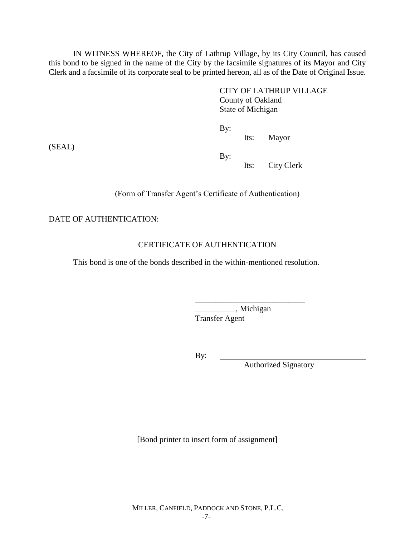IN WITNESS WHEREOF, the City of Lathrup Village, by its City Council, has caused this bond to be signed in the name of the City by the facsimile signatures of its Mayor and City Clerk and a facsimile of its corporate seal to be printed hereon, all as of the Date of Original Issue.

> CITY OF LATHRUP VILLAGE County of Oakland State of Michigan

By:

Its: Mayor

By:

Its: City Clerk

(Form of Transfer Agent's Certificate of Authentication)

DATE OF AUTHENTICATION:

## CERTIFICATE OF AUTHENTICATION

This bond is one of the bonds described in the within-mentioned resolution.

\_\_\_\_\_\_\_\_\_\_, Michigan Transfer Agent

\_\_\_\_\_\_\_\_\_\_\_\_\_\_\_\_\_\_\_\_\_\_\_\_\_\_\_

By:

Authorized Signatory

[Bond printer to insert form of assignment]

MILLER, CANFIELD, PADDOCK AND STONE, P.L.C.

(SEAL)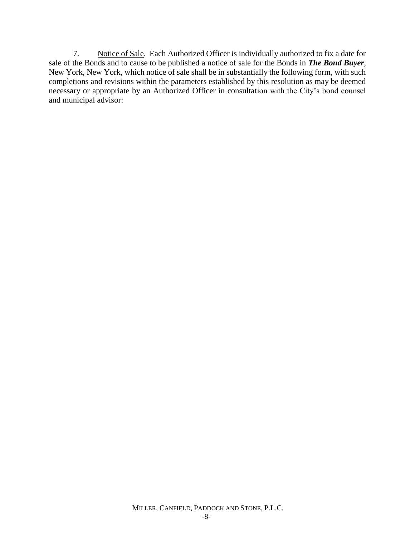7. Notice of Sale. Each Authorized Officer is individually authorized to fix a date for sale of the Bonds and to cause to be published a notice of sale for the Bonds in *The Bond Buyer*, New York, New York, which notice of sale shall be in substantially the following form, with such completions and revisions within the parameters established by this resolution as may be deemed necessary or appropriate by an Authorized Officer in consultation with the City's bond counsel and municipal advisor: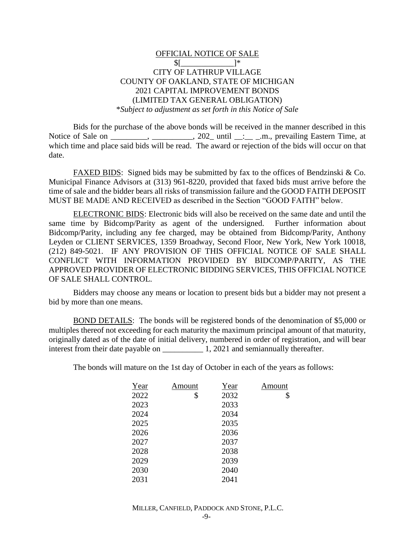### OFFICIAL NOTICE OF SALE  $\$$ [  $]$ \* CITY OF LATHRUP VILLAGE COUNTY OF OAKLAND, STATE OF MICHIGAN 2021 CAPITAL IMPROVEMENT BONDS (LIMITED TAX GENERAL OBLIGATION) \**Subject to adjustment as set forth in this Notice of Sale*

Bids for the purchase of the above bonds will be received in the manner described in this Notice of Sale on \_\_\_\_\_\_\_\_, \_\_\_\_\_\_\_\_, 202\_until \_:\_\_\_\_\_.m., prevailing Eastern Time, at which time and place said bids will be read. The award or rejection of the bids will occur on that date.

FAXED BIDS: Signed bids may be submitted by fax to the offices of Bendzinski & Co. Municipal Finance Advisors at (313) 961-8220, provided that faxed bids must arrive before the time of sale and the bidder bears all risks of transmission failure and the GOOD FAITH DEPOSIT MUST BE MADE AND RECEIVED as described in the Section "GOOD FAITH" below.

ELECTRONIC BIDS: Electronic bids will also be received on the same date and until the same time by Bidcomp/Parity as agent of the undersigned. Further information about Bidcomp/Parity, including any fee charged, may be obtained from Bidcomp/Parity, Anthony Leyden or CLIENT SERVICES, 1359 Broadway, Second Floor, New York, New York 10018, (212) 849-5021. IF ANY PROVISION OF THIS OFFICIAL NOTICE OF SALE SHALL CONFLICT WITH INFORMATION PROVIDED BY BIDCOMP/PARITY, AS THE APPROVED PROVIDER OF ELECTRONIC BIDDING SERVICES, THIS OFFICIAL NOTICE OF SALE SHALL CONTROL.

Bidders may choose any means or location to present bids but a bidder may not present a bid by more than one means.

BOND DETAILS: The bonds will be registered bonds of the denomination of \$5,000 or multiples thereof not exceeding for each maturity the maximum principal amount of that maturity, originally dated as of the date of initial delivery, numbered in order of registration, and will bear interest from their date payable on 1, 2021 and semiannually thereafter.

The bonds will mature on the 1st day of October in each of the years as follows:

| Year | Amount | Year | Amount |
|------|--------|------|--------|
| 2022 | \$     | 2032 | \$     |
| 2023 |        | 2033 |        |
| 2024 |        | 2034 |        |
| 2025 |        | 2035 |        |
| 2026 |        | 2036 |        |
| 2027 |        | 2037 |        |
| 2028 |        | 2038 |        |
| 2029 |        | 2039 |        |
| 2030 |        | 2040 |        |
| 2031 |        | 2041 |        |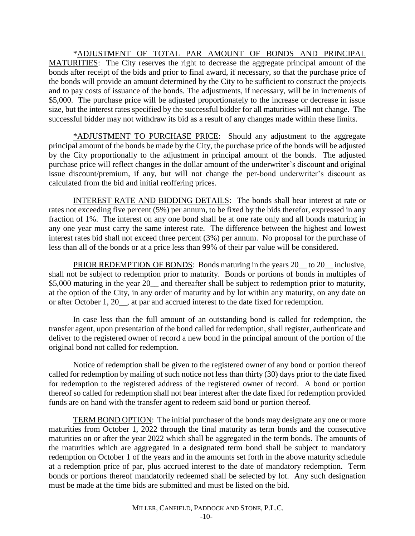\*ADJUSTMENT OF TOTAL PAR AMOUNT OF BONDS AND PRINCIPAL MATURITIES: The City reserves the right to decrease the aggregate principal amount of the bonds after receipt of the bids and prior to final award, if necessary, so that the purchase price of the bonds will provide an amount determined by the City to be sufficient to construct the projects and to pay costs of issuance of the bonds. The adjustments, if necessary, will be in increments of \$5,000. The purchase price will be adjusted proportionately to the increase or decrease in issue size, but the interest rates specified by the successful bidder for all maturities will not change. The successful bidder may not withdraw its bid as a result of any changes made within these limits.

\*ADJUSTMENT TO PURCHASE PRICE: Should any adjustment to the aggregate principal amount of the bonds be made by the City, the purchase price of the bonds will be adjusted by the City proportionally to the adjustment in principal amount of the bonds. The adjusted purchase price will reflect changes in the dollar amount of the underwriter's discount and original issue discount/premium, if any, but will not change the per-bond underwriter's discount as calculated from the bid and initial reoffering prices.

INTEREST RATE AND BIDDING DETAILS: The bonds shall bear interest at rate or rates not exceeding five percent (5%) per annum, to be fixed by the bids therefor, expressed in any fraction of 1%. The interest on any one bond shall be at one rate only and all bonds maturing in any one year must carry the same interest rate. The difference between the highest and lowest interest rates bid shall not exceed three percent (3%) per annum. No proposal for the purchase of less than all of the bonds or at a price less than 99% of their par value will be considered.

PRIOR REDEMPTION OF BONDS: Bonds maturing in the years 20 \_\_ to 20 \_\_ inclusive, shall not be subject to redemption prior to maturity. Bonds or portions of bonds in multiples of \$5,000 maturing in the year 20 and thereafter shall be subject to redemption prior to maturity, at the option of the City, in any order of maturity and by lot within any maturity, on any date on or after October 1, 20\_\_, at par and accrued interest to the date fixed for redemption.

In case less than the full amount of an outstanding bond is called for redemption, the transfer agent, upon presentation of the bond called for redemption, shall register, authenticate and deliver to the registered owner of record a new bond in the principal amount of the portion of the original bond not called for redemption.

Notice of redemption shall be given to the registered owner of any bond or portion thereof called for redemption by mailing of such notice not less than thirty (30) days prior to the date fixed for redemption to the registered address of the registered owner of record. A bond or portion thereof so called for redemption shall not bear interest after the date fixed for redemption provided funds are on hand with the transfer agent to redeem said bond or portion thereof.

TERM BOND OPTION: The initial purchaser of the bonds may designate any one or more maturities from October 1, 2022 through the final maturity as term bonds and the consecutive maturities on or after the year 2022 which shall be aggregated in the term bonds. The amounts of the maturities which are aggregated in a designated term bond shall be subject to mandatory redemption on October 1 of the years and in the amounts set forth in the above maturity schedule at a redemption price of par, plus accrued interest to the date of mandatory redemption. Term bonds or portions thereof mandatorily redeemed shall be selected by lot. Any such designation must be made at the time bids are submitted and must be listed on the bid.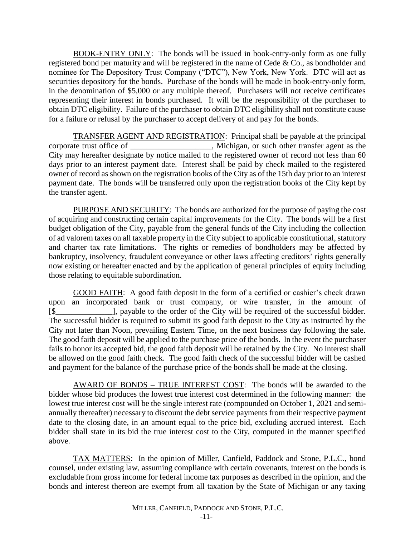BOOK-ENTRY ONLY: The bonds will be issued in book-entry-only form as one fully registered bond per maturity and will be registered in the name of Cede & Co., as bondholder and nominee for The Depository Trust Company ("DTC"), New York, New York. DTC will act as securities depository for the bonds. Purchase of the bonds will be made in book-entry-only form, in the denomination of \$5,000 or any multiple thereof. Purchasers will not receive certificates representing their interest in bonds purchased. It will be the responsibility of the purchaser to obtain DTC eligibility. Failure of the purchaser to obtain DTC eligibility shall not constitute cause for a failure or refusal by the purchaser to accept delivery of and pay for the bonds.

TRANSFER AGENT AND REGISTRATION: Principal shall be payable at the principal corporate trust office of example in the Michigan, or such other transfer agent as the City may hereafter designate by notice mailed to the registered owner of record not less than 60 days prior to an interest payment date. Interest shall be paid by check mailed to the registered owner of record as shown on the registration books of the City as of the 15th day prior to an interest payment date. The bonds will be transferred only upon the registration books of the City kept by the transfer agent.

PURPOSE AND SECURITY: The bonds are authorized for the purpose of paying the cost of acquiring and constructing certain capital improvements for the City. The bonds will be a first budget obligation of the City, payable from the general funds of the City including the collection of ad valorem taxes on all taxable property in the City subject to applicable constitutional, statutory and charter tax rate limitations. The rights or remedies of bondholders may be affected by bankruptcy, insolvency, fraudulent conveyance or other laws affecting creditors' rights generally now existing or hereafter enacted and by the application of general principles of equity including those relating to equitable subordination.

GOOD FAITH: A good faith deposit in the form of a certified or cashier's check drawn upon an incorporated bank or trust company, or wire transfer, in the amount of [\$\_\_\_\_\_\_\_\_\_\_\_\_\_\_], payable to the order of the City will be required of the successful bidder. The successful bidder is required to submit its good faith deposit to the City as instructed by the City not later than Noon, prevailing Eastern Time, on the next business day following the sale. The good faith deposit will be applied to the purchase price of the bonds. In the event the purchaser fails to honor its accepted bid, the good faith deposit will be retained by the City. No interest shall be allowed on the good faith check. The good faith check of the successful bidder will be cashed and payment for the balance of the purchase price of the bonds shall be made at the closing.

AWARD OF BONDS – TRUE INTEREST COST: The bonds will be awarded to the bidder whose bid produces the lowest true interest cost determined in the following manner: the lowest true interest cost will be the single interest rate (compounded on October 1, 2021 and semiannually thereafter) necessary to discount the debt service payments from their respective payment date to the closing date, in an amount equal to the price bid, excluding accrued interest. Each bidder shall state in its bid the true interest cost to the City, computed in the manner specified above.

TAX MATTERS: In the opinion of Miller, Canfield, Paddock and Stone, P.L.C., bond counsel, under existing law, assuming compliance with certain covenants, interest on the bonds is excludable from gross income for federal income tax purposes as described in the opinion, and the bonds and interest thereon are exempt from all taxation by the State of Michigan or any taxing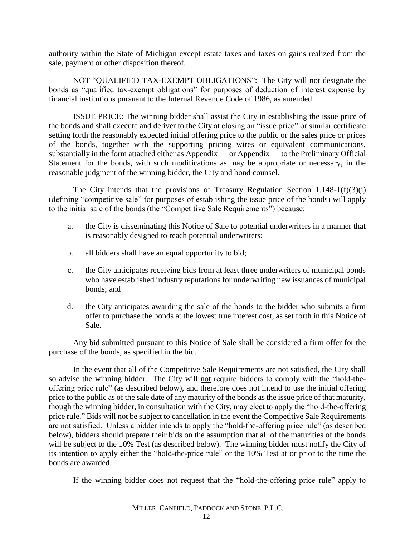authority within the State of Michigan except estate taxes and taxes on gains realized from the sale, payment or other disposition thereof.

NOT "QUALIFIED TAX-EXEMPT OBLIGATIONS": The City will not designate the bonds as "qualified tax-exempt obligations" for purposes of deduction of interest expense by financial institutions pursuant to the Internal Revenue Code of 1986, as amended.

ISSUE PRICE: The winning bidder shall assist the City in establishing the issue price of the bonds and shall execute and deliver to the City at closing an "issue price" or similar certificate setting forth the reasonably expected initial offering price to the public or the sales price or prices of the bonds, together with the supporting pricing wires or equivalent communications, substantially in the form attached either as Appendix \_\_ or Appendix \_\_ to the Preliminary Official Statement for the bonds, with such modifications as may be appropriate or necessary, in the reasonable judgment of the winning bidder, the City and bond counsel.

The City intends that the provisions of Treasury Regulation Section  $1.148-1(f)(3)(i)$ (defining "competitive sale" for purposes of establishing the issue price of the bonds) will apply to the initial sale of the bonds (the "Competitive Sale Requirements") because:

- a. the City is disseminating this Notice of Sale to potential underwriters in a manner that is reasonably designed to reach potential underwriters;
- b. all bidders shall have an equal opportunity to bid;
- c. the City anticipates receiving bids from at least three underwriters of municipal bonds who have established industry reputations for underwriting new issuances of municipal bonds; and
- d. the City anticipates awarding the sale of the bonds to the bidder who submits a firm offer to purchase the bonds at the lowest true interest cost, as set forth in this Notice of Sale.

Any bid submitted pursuant to this Notice of Sale shall be considered a firm offer for the purchase of the bonds, as specified in the bid.

In the event that all of the Competitive Sale Requirements are not satisfied, the City shall so advise the winning bidder. The City will not require bidders to comply with the "hold-theoffering price rule" (as described below), and therefore does not intend to use the initial offering price to the public as of the sale date of any maturity of the bonds as the issue price of that maturity, though the winning bidder, in consultation with the City, may elect to apply the "hold-the-offering price rule." Bids will not be subject to cancellation in the event the Competitive Sale Requirements are not satisfied. Unless a bidder intends to apply the "hold-the-offering price rule" (as described below), bidders should prepare their bids on the assumption that all of the maturities of the bonds will be subject to the 10% Test (as described below). The winning bidder must notify the City of its intention to apply either the "hold-the-price rule" or the 10% Test at or prior to the time the bonds are awarded.

If the winning bidder does not request that the "hold-the-offering price rule" apply to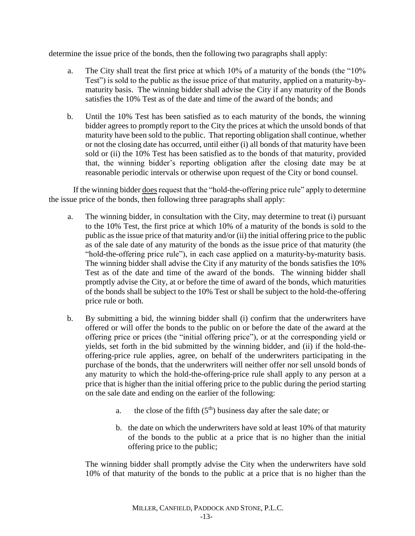determine the issue price of the bonds, then the following two paragraphs shall apply:

- a. The City shall treat the first price at which 10% of a maturity of the bonds (the "10% Test") is sold to the public as the issue price of that maturity, applied on a maturity-bymaturity basis. The winning bidder shall advise the City if any maturity of the Bonds satisfies the 10% Test as of the date and time of the award of the bonds; and
- b. Until the 10% Test has been satisfied as to each maturity of the bonds, the winning bidder agrees to promptly report to the City the prices at which the unsold bonds of that maturity have been sold to the public. That reporting obligation shall continue, whether or not the closing date has occurred, until either (i) all bonds of that maturity have been sold or (ii) the 10% Test has been satisfied as to the bonds of that maturity, provided that, the winning bidder's reporting obligation after the closing date may be at reasonable periodic intervals or otherwise upon request of the City or bond counsel.

If the winning bidder does request that the "hold-the-offering price rule" apply to determine the issue price of the bonds, then following three paragraphs shall apply:

- a. The winning bidder, in consultation with the City, may determine to treat (i) pursuant to the 10% Test, the first price at which 10% of a maturity of the bonds is sold to the public as the issue price of that maturity and/or (ii) the initial offering price to the public as of the sale date of any maturity of the bonds as the issue price of that maturity (the "hold-the-offering price rule"), in each case applied on a maturity-by-maturity basis. The winning bidder shall advise the City if any maturity of the bonds satisfies the 10% Test as of the date and time of the award of the bonds. The winning bidder shall promptly advise the City, at or before the time of award of the bonds, which maturities of the bonds shall be subject to the 10% Test or shall be subject to the hold-the-offering price rule or both.
- b. By submitting a bid, the winning bidder shall (i) confirm that the underwriters have offered or will offer the bonds to the public on or before the date of the award at the offering price or prices (the "initial offering price"), or at the corresponding yield or yields, set forth in the bid submitted by the winning bidder, and (ii) if the hold-theoffering-price rule applies, agree, on behalf of the underwriters participating in the purchase of the bonds, that the underwriters will neither offer nor sell unsold bonds of any maturity to which the hold-the-offering-price rule shall apply to any person at a price that is higher than the initial offering price to the public during the period starting on the sale date and ending on the earlier of the following:
	- a. the close of the fifth  $(5<sup>th</sup>)$  business day after the sale date; or
	- b. the date on which the underwriters have sold at least 10% of that maturity of the bonds to the public at a price that is no higher than the initial offering price to the public;

The winning bidder shall promptly advise the City when the underwriters have sold 10% of that maturity of the bonds to the public at a price that is no higher than the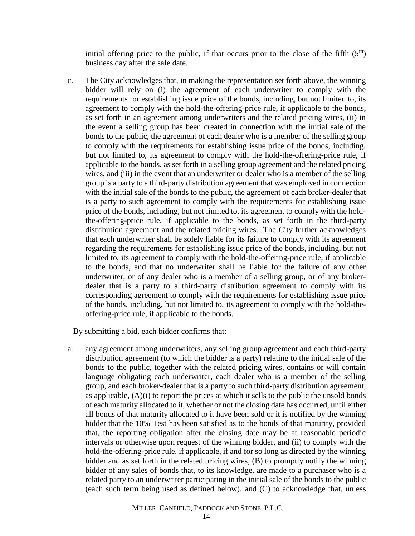initial offering price to the public, if that occurs prior to the close of the fifth  $(5<sup>th</sup>)$ business day after the sale date.

c. The City acknowledges that, in making the representation set forth above, the winning bidder will rely on (i) the agreement of each underwriter to comply with the requirements for establishing issue price of the bonds, including, but not limited to, its agreement to comply with the hold-the-offering-price rule, if applicable to the bonds, as set forth in an agreement among underwriters and the related pricing wires, (ii) in the event a selling group has been created in connection with the initial sale of the bonds to the public, the agreement of each dealer who is a member of the selling group to comply with the requirements for establishing issue price of the bonds, including, but not limited to, its agreement to comply with the hold-the-offering-price rule, if applicable to the bonds, as set forth in a selling group agreement and the related pricing wires, and (iii) in the event that an underwriter or dealer who is a member of the selling group is a party to a third-party distribution agreement that was employed in connection with the initial sale of the bonds to the public, the agreement of each broker-dealer that is a party to such agreement to comply with the requirements for establishing issue price of the bonds, including, but not limited to, its agreement to comply with the holdthe-offering-price rule, if applicable to the bonds, as set forth in the third-party distribution agreement and the related pricing wires. The City further acknowledges that each underwriter shall be solely liable for its failure to comply with its agreement regarding the requirements for establishing issue price of the bonds, including, but not limited to, its agreement to comply with the hold-the-offering-price rule, if applicable to the bonds, and that no underwriter shall be liable for the failure of any other underwriter, or of any dealer who is a member of a selling group, or of any brokerdealer that is a party to a third-party distribution agreement to comply with its corresponding agreement to comply with the requirements for establishing issue price of the bonds, including, but not limited to, its agreement to comply with the hold-theoffering-price rule, if applicable to the bonds.

By submitting a bid, each bidder confirms that:

a. any agreement among underwriters, any selling group agreement and each third-party distribution agreement (to which the bidder is a party) relating to the initial sale of the bonds to the public, together with the related pricing wires, contains or will contain language obligating each underwriter, each dealer who is a member of the selling group, and each broker-dealer that is a party to such third-party distribution agreement, as applicable,  $(A)(i)$  to report the prices at which it sells to the public the unsold bonds of each maturity allocated to it, whether or not the closing date has occurred, until either all bonds of that maturity allocated to it have been sold or it is notified by the winning bidder that the 10% Test has been satisfied as to the bonds of that maturity, provided that, the reporting obligation after the closing date may be at reasonable periodic intervals or otherwise upon request of the winning bidder, and (ii) to comply with the hold-the-offering-price rule, if applicable, if and for so long as directed by the winning bidder and as set forth in the related pricing wires, (B) to promptly notify the winning bidder of any sales of bonds that, to its knowledge, are made to a purchaser who is a related party to an underwriter participating in the initial sale of the bonds to the public (each such term being used as defined below), and (C) to acknowledge that, unless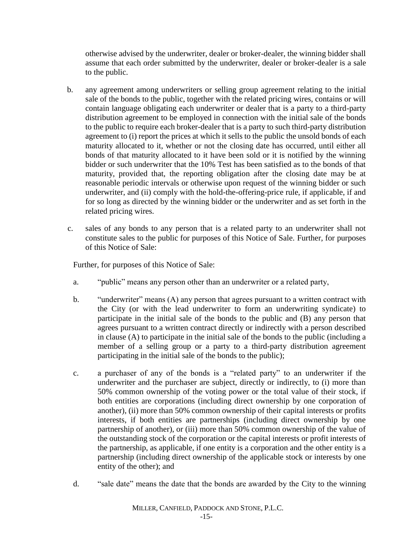otherwise advised by the underwriter, dealer or broker-dealer, the winning bidder shall assume that each order submitted by the underwriter, dealer or broker-dealer is a sale to the public.

- b. any agreement among underwriters or selling group agreement relating to the initial sale of the bonds to the public, together with the related pricing wires, contains or will contain language obligating each underwriter or dealer that is a party to a third-party distribution agreement to be employed in connection with the initial sale of the bonds to the public to require each broker-dealer that is a party to such third-party distribution agreement to (i) report the prices at which it sells to the public the unsold bonds of each maturity allocated to it, whether or not the closing date has occurred, until either all bonds of that maturity allocated to it have been sold or it is notified by the winning bidder or such underwriter that the 10% Test has been satisfied as to the bonds of that maturity, provided that, the reporting obligation after the closing date may be at reasonable periodic intervals or otherwise upon request of the winning bidder or such underwriter, and (ii) comply with the hold-the-offering-price rule, if applicable, if and for so long as directed by the winning bidder or the underwriter and as set forth in the related pricing wires.
- c. sales of any bonds to any person that is a related party to an underwriter shall not constitute sales to the public for purposes of this Notice of Sale. Further, for purposes of this Notice of Sale:

Further, for purposes of this Notice of Sale:

- a. "public" means any person other than an underwriter or a related party,
- b. "underwriter" means (A) any person that agrees pursuant to a written contract with the City (or with the lead underwriter to form an underwriting syndicate) to participate in the initial sale of the bonds to the public and (B) any person that agrees pursuant to a written contract directly or indirectly with a person described in clause (A) to participate in the initial sale of the bonds to the public (including a member of a selling group or a party to a third-party distribution agreement participating in the initial sale of the bonds to the public);
- c. a purchaser of any of the bonds is a "related party" to an underwriter if the underwriter and the purchaser are subject, directly or indirectly, to (i) more than 50% common ownership of the voting power or the total value of their stock, if both entities are corporations (including direct ownership by one corporation of another), (ii) more than 50% common ownership of their capital interests or profits interests, if both entities are partnerships (including direct ownership by one partnership of another), or (iii) more than 50% common ownership of the value of the outstanding stock of the corporation or the capital interests or profit interests of the partnership, as applicable, if one entity is a corporation and the other entity is a partnership (including direct ownership of the applicable stock or interests by one entity of the other); and
- d. "sale date" means the date that the bonds are awarded by the City to the winning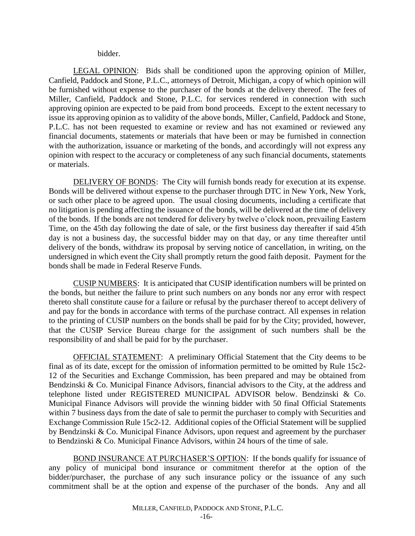bidder.

LEGAL OPINION: Bids shall be conditioned upon the approving opinion of Miller, Canfield, Paddock and Stone, P.L.C., attorneys of Detroit, Michigan, a copy of which opinion will be furnished without expense to the purchaser of the bonds at the delivery thereof. The fees of Miller, Canfield, Paddock and Stone, P.L.C. for services rendered in connection with such approving opinion are expected to be paid from bond proceeds. Except to the extent necessary to issue its approving opinion as to validity of the above bonds, Miller, Canfield, Paddock and Stone, P.L.C. has not been requested to examine or review and has not examined or reviewed any financial documents, statements or materials that have been or may be furnished in connection with the authorization, issuance or marketing of the bonds, and accordingly will not express any opinion with respect to the accuracy or completeness of any such financial documents, statements or materials.

DELIVERY OF BONDS: The City will furnish bonds ready for execution at its expense. Bonds will be delivered without expense to the purchaser through DTC in New York, New York, or such other place to be agreed upon. The usual closing documents, including a certificate that no litigation is pending affecting the issuance of the bonds, will be delivered at the time of delivery of the bonds. If the bonds are not tendered for delivery by twelve o'clock noon, prevailing Eastern Time, on the 45th day following the date of sale, or the first business day thereafter if said 45th day is not a business day, the successful bidder may on that day, or any time thereafter until delivery of the bonds, withdraw its proposal by serving notice of cancellation, in writing, on the undersigned in which event the City shall promptly return the good faith deposit. Payment for the bonds shall be made in Federal Reserve Funds.

CUSIP NUMBERS: It is anticipated that CUSIP identification numbers will be printed on the bonds, but neither the failure to print such numbers on any bonds nor any error with respect thereto shall constitute cause for a failure or refusal by the purchaser thereof to accept delivery of and pay for the bonds in accordance with terms of the purchase contract. All expenses in relation to the printing of CUSIP numbers on the bonds shall be paid for by the City; provided, however, that the CUSIP Service Bureau charge for the assignment of such numbers shall be the responsibility of and shall be paid for by the purchaser.

OFFICIAL STATEMENT: A preliminary Official Statement that the City deems to be final as of its date, except for the omission of information permitted to be omitted by Rule 15c2- 12 of the Securities and Exchange Commission, has been prepared and may be obtained from Bendzinski & Co. Municipal Finance Advisors, financial advisors to the City, at the address and telephone listed under REGISTERED MUNICIPAL ADVISOR below. Bendzinski & Co. Municipal Finance Advisors will provide the winning bidder with 50 final Official Statements within 7 business days from the date of sale to permit the purchaser to comply with Securities and Exchange Commission Rule 15c2-12. Additional copies of the Official Statement will be supplied by Bendzinski & Co. Municipal Finance Advisors, upon request and agreement by the purchaser to Bendzinski & Co. Municipal Finance Advisors, within 24 hours of the time of sale.

BOND INSURANCE AT PURCHASER'S OPTION: If the bonds qualify for issuance of any policy of municipal bond insurance or commitment therefor at the option of the bidder/purchaser, the purchase of any such insurance policy or the issuance of any such commitment shall be at the option and expense of the purchaser of the bonds. Any and all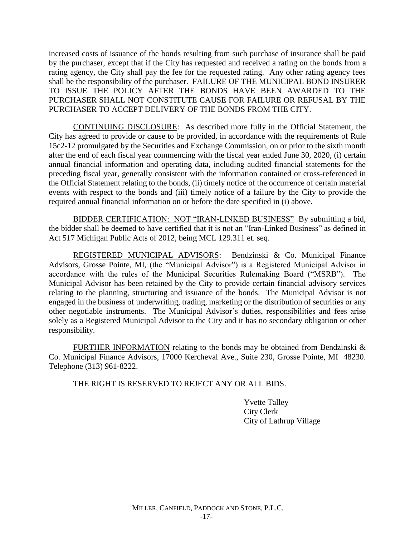increased costs of issuance of the bonds resulting from such purchase of insurance shall be paid by the purchaser, except that if the City has requested and received a rating on the bonds from a rating agency, the City shall pay the fee for the requested rating. Any other rating agency fees shall be the responsibility of the purchaser. FAILURE OF THE MUNICIPAL BOND INSURER TO ISSUE THE POLICY AFTER THE BONDS HAVE BEEN AWARDED TO THE PURCHASER SHALL NOT CONSTITUTE CAUSE FOR FAILURE OR REFUSAL BY THE PURCHASER TO ACCEPT DELIVERY OF THE BONDS FROM THE CITY.

CONTINUING DISCLOSURE: As described more fully in the Official Statement, the City has agreed to provide or cause to be provided, in accordance with the requirements of Rule 15c2-12 promulgated by the Securities and Exchange Commission, on or prior to the sixth month after the end of each fiscal year commencing with the fiscal year ended June 30, 2020, (i) certain annual financial information and operating data, including audited financial statements for the preceding fiscal year, generally consistent with the information contained or cross-referenced in the Official Statement relating to the bonds, (ii) timely notice of the occurrence of certain material events with respect to the bonds and (iii) timely notice of a failure by the City to provide the required annual financial information on or before the date specified in (i) above.

BIDDER CERTIFICATION: NOT "IRAN-LINKED BUSINESS" By submitting a bid, the bidder shall be deemed to have certified that it is not an "Iran-Linked Business" as defined in Act 517 Michigan Public Acts of 2012, being MCL 129.311 et. seq.

REGISTERED MUNICIPAL ADVISORS: Bendzinski & Co. Municipal Finance Advisors, Grosse Pointe, MI, (the "Municipal Advisor") is a Registered Municipal Advisor in accordance with the rules of the Municipal Securities Rulemaking Board ("MSRB"). The Municipal Advisor has been retained by the City to provide certain financial advisory services relating to the planning, structuring and issuance of the bonds. The Municipal Advisor is not engaged in the business of underwriting, trading, marketing or the distribution of securities or any other negotiable instruments. The Municipal Advisor's duties, responsibilities and fees arise solely as a Registered Municipal Advisor to the City and it has no secondary obligation or other responsibility.

FURTHER INFORMATION relating to the bonds may be obtained from Bendzinski  $\&$ Co. Municipal Finance Advisors, 17000 Kercheval Ave., Suite 230, Grosse Pointe, MI 48230. Telephone (313) 961-8222.

THE RIGHT IS RESERVED TO REJECT ANY OR ALL BIDS.

Yvette Talley City Clerk City of Lathrup Village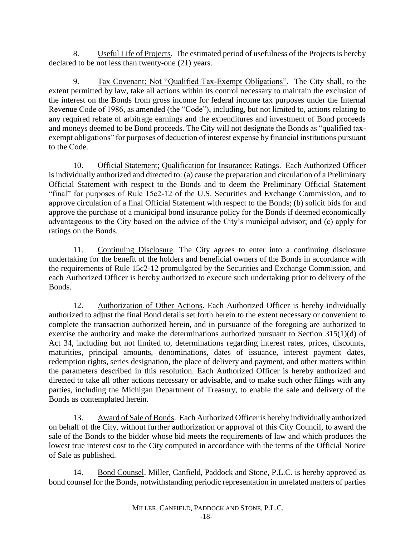8. Useful Life of Projects. The estimated period of usefulness of the Projects is hereby declared to be not less than twenty-one (21) years.

9. Tax Covenant; Not "Qualified Tax-Exempt Obligations". The City shall, to the extent permitted by law, take all actions within its control necessary to maintain the exclusion of the interest on the Bonds from gross income for federal income tax purposes under the Internal Revenue Code of 1986, as amended (the "Code"), including, but not limited to, actions relating to any required rebate of arbitrage earnings and the expenditures and investment of Bond proceeds and moneys deemed to be Bond proceeds. The City will not designate the Bonds as "qualified taxexempt obligations" for purposes of deduction of interest expense by financial institutions pursuant to the Code.

10. Official Statement; Qualification for Insurance; Ratings. Each Authorized Officer is individually authorized and directed to: (a) cause the preparation and circulation of a Preliminary Official Statement with respect to the Bonds and to deem the Preliminary Official Statement "final" for purposes of Rule 15c2-12 of the U.S. Securities and Exchange Commission, and to approve circulation of a final Official Statement with respect to the Bonds; (b) solicit bids for and approve the purchase of a municipal bond insurance policy for the Bonds if deemed economically advantageous to the City based on the advice of the City's municipal advisor; and (c) apply for ratings on the Bonds.

11. Continuing Disclosure. The City agrees to enter into a continuing disclosure undertaking for the benefit of the holders and beneficial owners of the Bonds in accordance with the requirements of Rule 15c2-12 promulgated by the Securities and Exchange Commission, and each Authorized Officer is hereby authorized to execute such undertaking prior to delivery of the Bonds.

12. Authorization of Other Actions. Each Authorized Officer is hereby individually authorized to adjust the final Bond details set forth herein to the extent necessary or convenient to complete the transaction authorized herein, and in pursuance of the foregoing are authorized to exercise the authority and make the determinations authorized pursuant to Section 315(1)(d) of Act 34, including but not limited to, determinations regarding interest rates, prices, discounts, maturities, principal amounts, denominations, dates of issuance, interest payment dates, redemption rights, series designation, the place of delivery and payment, and other matters within the parameters described in this resolution. Each Authorized Officer is hereby authorized and directed to take all other actions necessary or advisable, and to make such other filings with any parties, including the Michigan Department of Treasury, to enable the sale and delivery of the Bonds as contemplated herein.

13. Award of Sale of Bonds. Each Authorized Officer is hereby individually authorized on behalf of the City, without further authorization or approval of this City Council, to award the sale of the Bonds to the bidder whose bid meets the requirements of law and which produces the lowest true interest cost to the City computed in accordance with the terms of the Official Notice of Sale as published.

14. Bond Counsel. Miller, Canfield, Paddock and Stone, P.L.C. is hereby approved as bond counsel for the Bonds, notwithstanding periodic representation in unrelated matters of parties